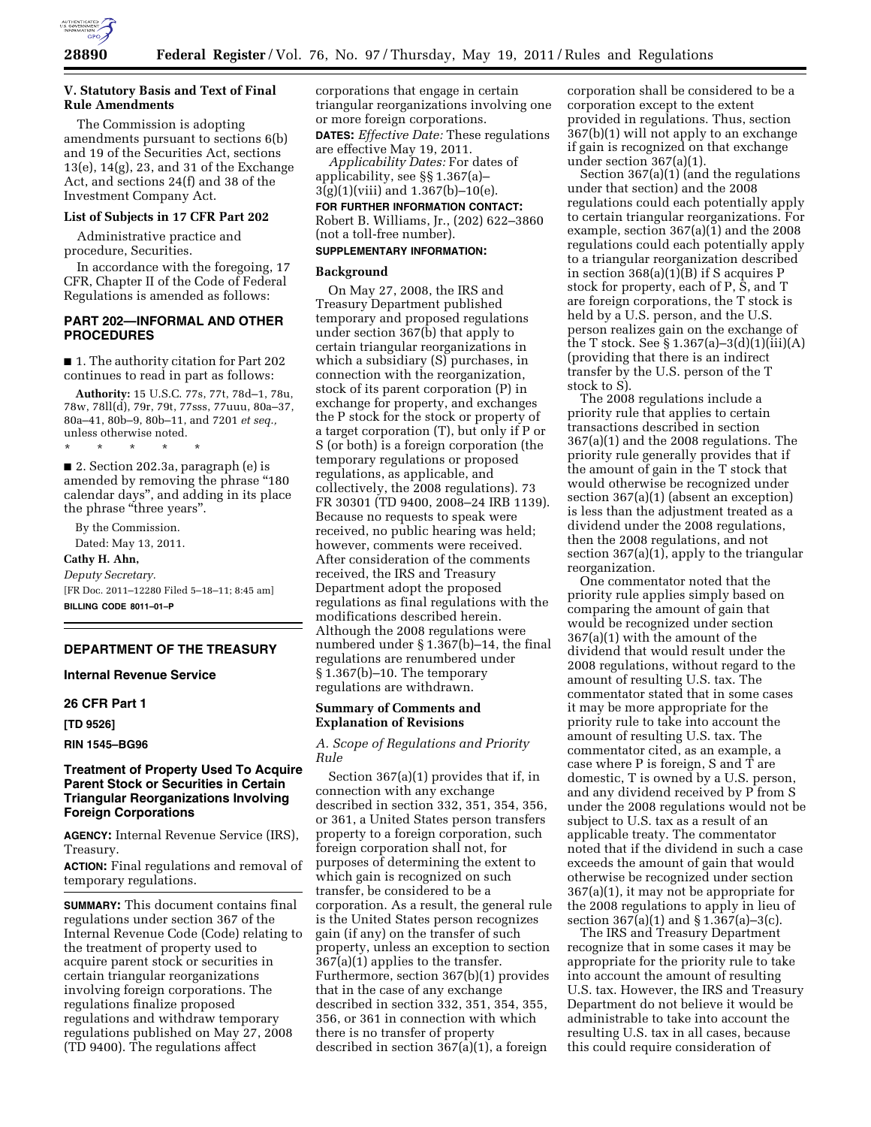

## **V. Statutory Basis and Text of Final Rule Amendments**

The Commission is adopting amendments pursuant to sections 6(b) and 19 of the Securities Act, sections 13(e), 14(g), 23, and 31 of the Exchange Act, and sections 24(f) and 38 of the Investment Company Act.

#### **List of Subjects in 17 CFR Part 202**

Administrative practice and procedure, Securities.

In accordance with the foregoing, 17 CFR, Chapter II of the Code of Federal Regulations is amended as follows:

# **PART 202—INFORMAL AND OTHER PROCEDURES**

■ 1. The authority citation for Part 202 continues to read in part as follows:

**Authority:** 15 U.S.C. 77s, 77t, 78d–1, 78u, 78w, 78ll(d), 79r, 79t, 77sss, 77uuu, 80a–37, 80a–41, 80b–9, 80b–11, and 7201 *et seq.,*  unless otherwise noted.

■ 2. Section 202.3a, paragraph (e) is amended by removing the phrase "180" calendar days'', and adding in its place the phrase "three years".

\* \* \* \* \*

By the Commission. Dated: May 13, 2011. **Cathy H. Ahn,**  *Deputy Secretary.*  [FR Doc. 2011–12280 Filed 5–18–11; 8:45 am] **BILLING CODE 8011–01–P** 

# **DEPARTMENT OF THE TREASURY**

**Internal Revenue Service** 

#### **26 CFR Part 1**

**[TD 9526]** 

**RIN 1545–BG96** 

## **Treatment of Property Used To Acquire Parent Stock or Securities in Certain Triangular Reorganizations Involving Foreign Corporations**

**AGENCY:** Internal Revenue Service (IRS), Treasury.

**ACTION:** Final regulations and removal of temporary regulations.

**SUMMARY:** This document contains final regulations under section 367 of the Internal Revenue Code (Code) relating to the treatment of property used to acquire parent stock or securities in certain triangular reorganizations involving foreign corporations. The regulations finalize proposed regulations and withdraw temporary regulations published on May 27, 2008 (TD 9400). The regulations affect

corporations that engage in certain triangular reorganizations involving one or more foreign corporations.

**DATES:** *Effective Date:* These regulations are effective May 19, 2011.

*Applicability Dates:* For dates of applicability, see §§ 1.367(a)– 3(g)(1)(viii) and 1.367(b)–10(e).

**FOR FURTHER INFORMATION CONTACT:** 

Robert B. Williams, Jr., (202) 622–3860 (not a toll-free number).

# **SUPPLEMENTARY INFORMATION:**

#### **Background**

On May 27, 2008, the IRS and Treasury Department published temporary and proposed regulations under section 367(b) that apply to certain triangular reorganizations in which a subsidiary (S) purchases, in connection with the reorganization, stock of its parent corporation (P) in exchange for property, and exchanges the P stock for the stock or property of a target corporation (T), but only if P or S (or both) is a foreign corporation (the temporary regulations or proposed regulations, as applicable, and collectively, the 2008 regulations). 73 FR 30301 (TD 9400, 2008–24 IRB 1139). Because no requests to speak were received, no public hearing was held; however, comments were received. After consideration of the comments received, the IRS and Treasury Department adopt the proposed regulations as final regulations with the modifications described herein. Although the 2008 regulations were numbered under § 1.367(b)–14, the final regulations are renumbered under § 1.367(b)–10. The temporary regulations are withdrawn.

#### **Summary of Comments and Explanation of Revisions**

*A. Scope of Regulations and Priority Rule* 

Section 367(a)(1) provides that if, in connection with any exchange described in section 332, 351, 354, 356, or 361, a United States person transfers property to a foreign corporation, such foreign corporation shall not, for purposes of determining the extent to which gain is recognized on such transfer, be considered to be a corporation. As a result, the general rule is the United States person recognizes gain (if any) on the transfer of such property, unless an exception to section 367(a)(1) applies to the transfer. Furthermore, section 367(b)(1) provides that in the case of any exchange described in section 332, 351, 354, 355, 356, or 361 in connection with which there is no transfer of property described in section 367(a)(1), a foreign

corporation shall be considered to be a corporation except to the extent provided in regulations. Thus, section 367(b)(1) will not apply to an exchange if gain is recognized on that exchange under section 367(a)(1).

Section 367(a)(1) (and the regulations under that section) and the 2008 regulations could each potentially apply to certain triangular reorganizations. For example, section 367(a)(1) and the 2008 regulations could each potentially apply to a triangular reorganization described in section 368(a)(1)(B) if S acquires P stock for property, each of P, S, and T are foreign corporations, the T stock is held by a U.S. person, and the U.S. person realizes gain on the exchange of the T stock. See § 1.367(a)–3(d)(1)(iii)(A) (providing that there is an indirect transfer by the U.S. person of the T stock to S).

The 2008 regulations include a priority rule that applies to certain transactions described in section 367(a)(1) and the 2008 regulations. The priority rule generally provides that if the amount of gain in the T stock that would otherwise be recognized under section 367(a)(1) (absent an exception) is less than the adjustment treated as a dividend under the 2008 regulations, then the 2008 regulations, and not section 367(a)(1), apply to the triangular reorganization.

One commentator noted that the priority rule applies simply based on comparing the amount of gain that would be recognized under section 367(a)(1) with the amount of the dividend that would result under the 2008 regulations, without regard to the amount of resulting U.S. tax. The commentator stated that in some cases it may be more appropriate for the priority rule to take into account the amount of resulting U.S. tax. The commentator cited, as an example, a case where P is foreign, S and T are domestic, T is owned by a U.S. person, and any dividend received by P from S under the 2008 regulations would not be subject to U.S. tax as a result of an applicable treaty. The commentator noted that if the dividend in such a case exceeds the amount of gain that would otherwise be recognized under section 367(a)(1), it may not be appropriate for the 2008 regulations to apply in lieu of section 367(a)(1) and § 1.367(a)–3(c).

The IRS and Treasury Department recognize that in some cases it may be appropriate for the priority rule to take into account the amount of resulting U.S. tax. However, the IRS and Treasury Department do not believe it would be administrable to take into account the resulting U.S. tax in all cases, because this could require consideration of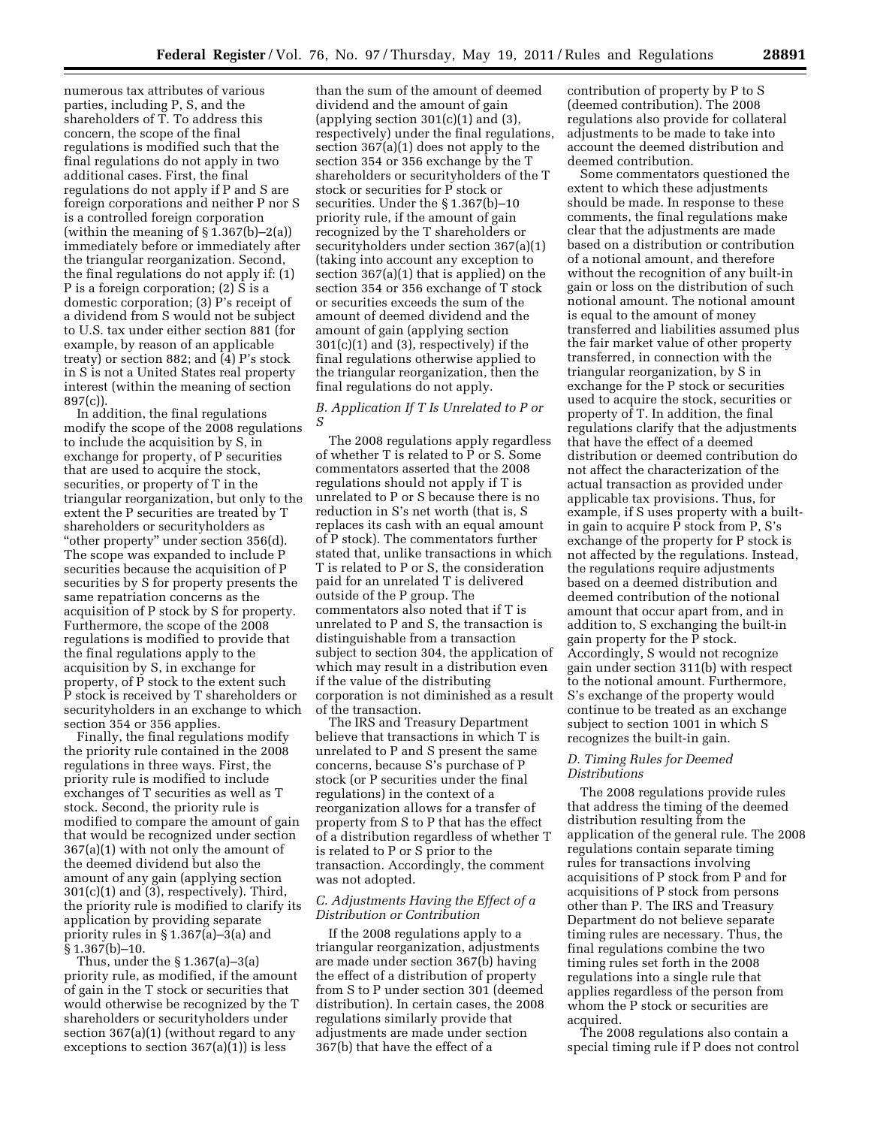numerous tax attributes of various parties, including P, S, and the shareholders of T. To address this concern, the scope of the final regulations is modified such that the final regulations do not apply in two additional cases. First, the final regulations do not apply if P and S are foreign corporations and neither P nor S is a controlled foreign corporation (within the meaning of  $\S 1.367(b) - 2(a)$ ) immediately before or immediately after the triangular reorganization. Second, the final regulations do not apply if: (1) P is a foreign corporation; (2) S is a domestic corporation; (3) P's receipt of a dividend from S would not be subject to U.S. tax under either section 881 (for example, by reason of an applicable treaty) or section 882; and (4) P's stock in S is not a United States real property interest (within the meaning of section 897(c)).

In addition, the final regulations modify the scope of the 2008 regulations to include the acquisition by S, in exchange for property, of P securities that are used to acquire the stock, securities, or property of T in the triangular reorganization, but only to the extent the P securities are treated by T shareholders or securityholders as "other property" under section 356(d). The scope was expanded to include P securities because the acquisition of P securities by S for property presents the same repatriation concerns as the acquisition of P stock by S for property. Furthermore, the scope of the 2008 regulations is modified to provide that the final regulations apply to the acquisition by S, in exchange for property, of P stock to the extent such P stock is received by T shareholders or securityholders in an exchange to which section 354 or 356 applies.

Finally, the final regulations modify the priority rule contained in the 2008 regulations in three ways. First, the priority rule is modified to include exchanges of T securities as well as T stock. Second, the priority rule is modified to compare the amount of gain that would be recognized under section 367(a)(1) with not only the amount of the deemed dividend but also the amount of any gain (applying section 301(c)(1) and (3), respectively). Third, the priority rule is modified to clarify its application by providing separate priority rules in § 1.367(a)–3(a) and § 1.367(b)–10.

Thus, under the § 1.367(a)–3(a) priority rule, as modified, if the amount of gain in the T stock or securities that would otherwise be recognized by the T shareholders or securityholders under section 367(a)(1) (without regard to any exceptions to section  $367(a)(1)$  is less

than the sum of the amount of deemed dividend and the amount of gain (applying section  $301(c)(1)$  and  $(3)$ , respectively) under the final regulations, section 367(a)(1) does not apply to the section 354 or 356 exchange by the T shareholders or securityholders of the T stock or securities for P stock or securities. Under the § 1.367(b)–10 priority rule, if the amount of gain recognized by the T shareholders or securityholders under section 367(a)(1) (taking into account any exception to section 367(a)(1) that is applied) on the section 354 or 356 exchange of T stock or securities exceeds the sum of the amount of deemed dividend and the amount of gain (applying section 301(c)(1) and (3), respectively) if the final regulations otherwise applied to the triangular reorganization, then the final regulations do not apply.

# *B. Application If T Is Unrelated to P or S*

The 2008 regulations apply regardless of whether T is related to P or S. Some commentators asserted that the 2008 regulations should not apply if T is unrelated to P or S because there is no reduction in S's net worth (that is, S replaces its cash with an equal amount of P stock). The commentators further stated that, unlike transactions in which T is related to P or S, the consideration paid for an unrelated T is delivered outside of the P group. The commentators also noted that if T is unrelated to P and S, the transaction is distinguishable from a transaction subject to section 304, the application of which may result in a distribution even if the value of the distributing corporation is not diminished as a result of the transaction.

The IRS and Treasury Department believe that transactions in which T is unrelated to P and S present the same concerns, because S's purchase of P stock (or P securities under the final regulations) in the context of a reorganization allows for a transfer of property from S to P that has the effect of a distribution regardless of whether T is related to P or S prior to the transaction. Accordingly, the comment was not adopted.

#### *C. Adjustments Having the Effect of a Distribution or Contribution*

If the 2008 regulations apply to a triangular reorganization, adjustments are made under section 367(b) having the effect of a distribution of property from S to P under section 301 (deemed distribution). In certain cases, the 2008 regulations similarly provide that adjustments are made under section 367(b) that have the effect of a

contribution of property by P to S (deemed contribution). The 2008 regulations also provide for collateral adjustments to be made to take into account the deemed distribution and deemed contribution.

Some commentators questioned the extent to which these adjustments should be made. In response to these comments, the final regulations make clear that the adjustments are made based on a distribution or contribution of a notional amount, and therefore without the recognition of any built-in gain or loss on the distribution of such notional amount. The notional amount is equal to the amount of money transferred and liabilities assumed plus the fair market value of other property transferred, in connection with the triangular reorganization, by S in exchange for the P stock or securities used to acquire the stock, securities or property of T. In addition, the final regulations clarify that the adjustments that have the effect of a deemed distribution or deemed contribution do not affect the characterization of the actual transaction as provided under applicable tax provisions. Thus, for example, if S uses property with a builtin gain to acquire P stock from P, S's exchange of the property for P stock is not affected by the regulations. Instead, the regulations require adjustments based on a deemed distribution and deemed contribution of the notional amount that occur apart from, and in addition to, S exchanging the built-in gain property for the P stock. Accordingly, S would not recognize gain under section 311(b) with respect to the notional amount. Furthermore, S's exchange of the property would continue to be treated as an exchange subject to section 1001 in which S recognizes the built-in gain.

### *D. Timing Rules for Deemed Distributions*

The 2008 regulations provide rules that address the timing of the deemed distribution resulting from the application of the general rule. The 2008 regulations contain separate timing rules for transactions involving acquisitions of P stock from P and for acquisitions of P stock from persons other than P. The IRS and Treasury Department do not believe separate timing rules are necessary. Thus, the final regulations combine the two timing rules set forth in the 2008 regulations into a single rule that applies regardless of the person from whom the P stock or securities are acquired.

The 2008 regulations also contain a special timing rule if P does not control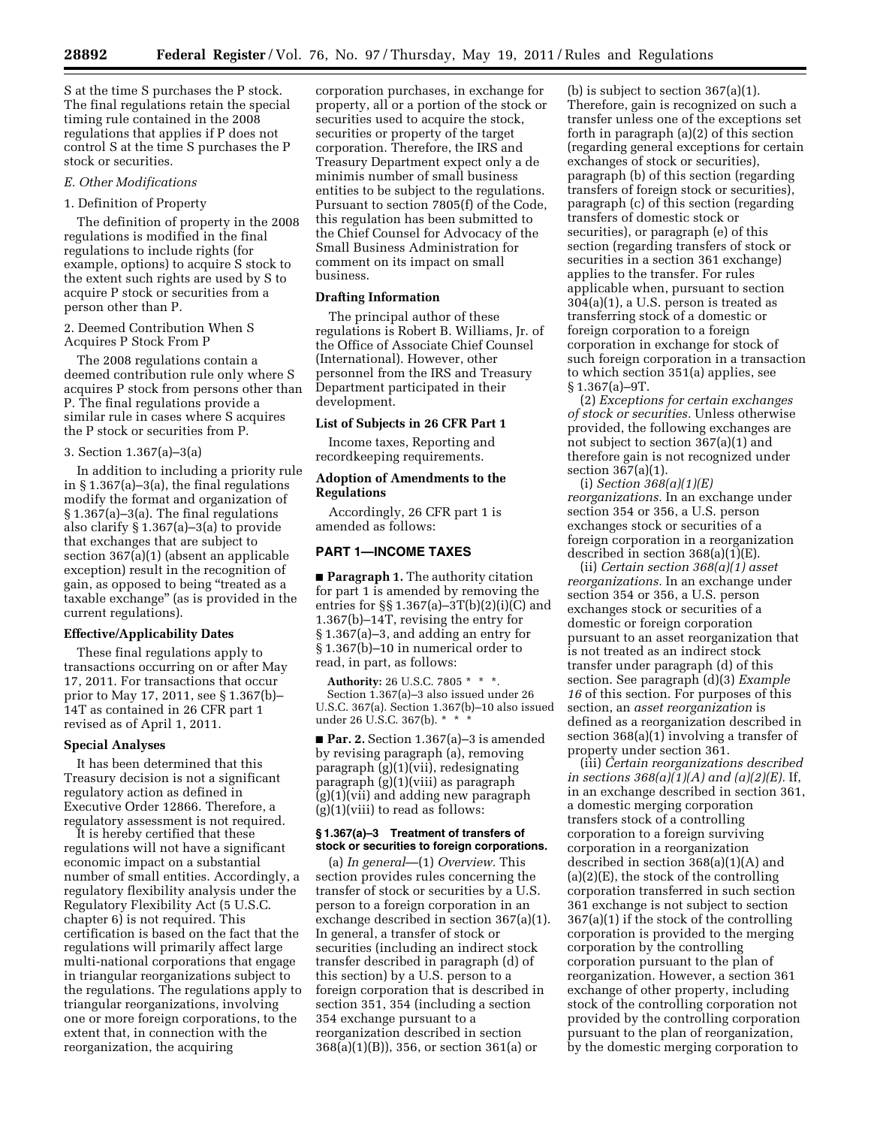S at the time S purchases the P stock. The final regulations retain the special timing rule contained in the 2008 regulations that applies if P does not control S at the time S purchases the P stock or securities.

#### *E. Other Modifications*

#### 1. Definition of Property

The definition of property in the 2008 regulations is modified in the final regulations to include rights (for example, options) to acquire S stock to the extent such rights are used by S to acquire P stock or securities from a person other than P.

2. Deemed Contribution When S Acquires P Stock From P

The 2008 regulations contain a deemed contribution rule only where S acquires P stock from persons other than P. The final regulations provide a similar rule in cases where S acquires the P stock or securities from P.

#### 3. Section 1.367(a)–3(a)

In addition to including a priority rule in § 1.367(a)–3(a), the final regulations modify the format and organization of § 1.367(a)–3(a). The final regulations also clarify § 1.367(a)–3(a) to provide that exchanges that are subject to section 367(a)(1) (absent an applicable exception) result in the recognition of gain, as opposed to being ''treated as a taxable exchange'' (as is provided in the current regulations).

### **Effective/Applicability Dates**

These final regulations apply to transactions occurring on or after May 17, 2011. For transactions that occur prior to May 17, 2011, see § 1.367(b)– 14T as contained in 26 CFR part 1 revised as of April 1, 2011.

#### **Special Analyses**

It has been determined that this Treasury decision is not a significant regulatory action as defined in Executive Order 12866. Therefore, a regulatory assessment is not required.

It is hereby certified that these regulations will not have a significant economic impact on a substantial number of small entities. Accordingly, a regulatory flexibility analysis under the Regulatory Flexibility Act (5 U.S.C. chapter 6) is not required. This certification is based on the fact that the regulations will primarily affect large multi-national corporations that engage in triangular reorganizations subject to the regulations. The regulations apply to triangular reorganizations, involving one or more foreign corporations, to the extent that, in connection with the reorganization, the acquiring

corporation purchases, in exchange for property, all or a portion of the stock or securities used to acquire the stock, securities or property of the target corporation. Therefore, the IRS and Treasury Department expect only a de minimis number of small business entities to be subject to the regulations. Pursuant to section 7805(f) of the Code, this regulation has been submitted to the Chief Counsel for Advocacy of the Small Business Administration for comment on its impact on small business.

### **Drafting Information**

The principal author of these regulations is Robert B. Williams, Jr. of the Office of Associate Chief Counsel (International). However, other personnel from the IRS and Treasury Department participated in their development.

#### **List of Subjects in 26 CFR Part 1**

Income taxes, Reporting and recordkeeping requirements.

### **Adoption of Amendments to the Regulations**

Accordingly, 26 CFR part 1 is amended as follows:

### **PART 1—INCOME TAXES**

■ **Paragraph 1.** The authority citation for part 1 is amended by removing the entries for  $\S$  1.367(a)-3T(b)(2)(i)(C) and 1.367(b)–14T, revising the entry for § 1.367(a)–3, and adding an entry for § 1.367(b)–10 in numerical order to read, in part, as follows:

**Authority:** 26 U.S.C. 7805 \* \* \*. Section 1.367(a)–3 also issued under 26 U.S.C. 367(a). Section 1.367(b)–10 also issued under 26 U.S.C. 367(b). \*

■ **Par. 2.** Section 1.367(a)–3 is amended by revising paragraph (a), removing paragraph (g)(1)(vii), redesignating paragraph (g)(1)(viii) as paragraph (g)(1)(vii) and adding new paragraph (g)(1)(viii) to read as follows:

### **§ 1.367(a)–3 Treatment of transfers of stock or securities to foreign corporations.**

(a) *In general*—(1) *Overview.* This section provides rules concerning the transfer of stock or securities by a U.S. person to a foreign corporation in an exchange described in section 367(a)(1). In general, a transfer of stock or securities (including an indirect stock transfer described in paragraph (d) of this section) by a U.S. person to a foreign corporation that is described in section 351, 354 (including a section 354 exchange pursuant to a reorganization described in section 368(a)(1)(B)), 356, or section 361(a) or

(b) is subject to section 367(a)(1). Therefore, gain is recognized on such a transfer unless one of the exceptions set forth in paragraph (a)(2) of this section (regarding general exceptions for certain exchanges of stock or securities), paragraph (b) of this section (regarding transfers of foreign stock or securities), paragraph (c) of this section (regarding transfers of domestic stock or securities), or paragraph (e) of this section (regarding transfers of stock or securities in a section 361 exchange) applies to the transfer. For rules applicable when, pursuant to section 304(a)(1), a U.S. person is treated as transferring stock of a domestic or foreign corporation to a foreign corporation in exchange for stock of such foreign corporation in a transaction to which section 351(a) applies, see § 1.367(a)–9T.

(2) *Exceptions for certain exchanges of stock or securities.* Unless otherwise provided, the following exchanges are not subject to section 367(a)(1) and therefore gain is not recognized under section 367(a)(1).

(i) *Section 368(a)(1)(E) reorganizations.* In an exchange under section 354 or 356, a U.S. person exchanges stock or securities of a foreign corporation in a reorganization described in section 368(a)(1)(E).

(ii) *Certain section 368(a)(1) asset reorganizations.* In an exchange under section 354 or 356, a U.S. person exchanges stock or securities of a domestic or foreign corporation pursuant to an asset reorganization that is not treated as an indirect stock transfer under paragraph (d) of this section. See paragraph (d)(3) *Example 16* of this section. For purposes of this section, an *asset reorganization* is defined as a reorganization described in section 368(a)(1) involving a transfer of property under section 361.

(iii) *Certain reorganizations described in sections 368(a)(1)(A) and (a)(2)(E).* If, in an exchange described in section 361, a domestic merging corporation transfers stock of a controlling corporation to a foreign surviving corporation in a reorganization described in section 368(a)(1)(A) and (a)(2)(E), the stock of the controlling corporation transferred in such section 361 exchange is not subject to section 367(a)(1) if the stock of the controlling corporation is provided to the merging corporation by the controlling corporation pursuant to the plan of reorganization. However, a section 361 exchange of other property, including stock of the controlling corporation not provided by the controlling corporation pursuant to the plan of reorganization, by the domestic merging corporation to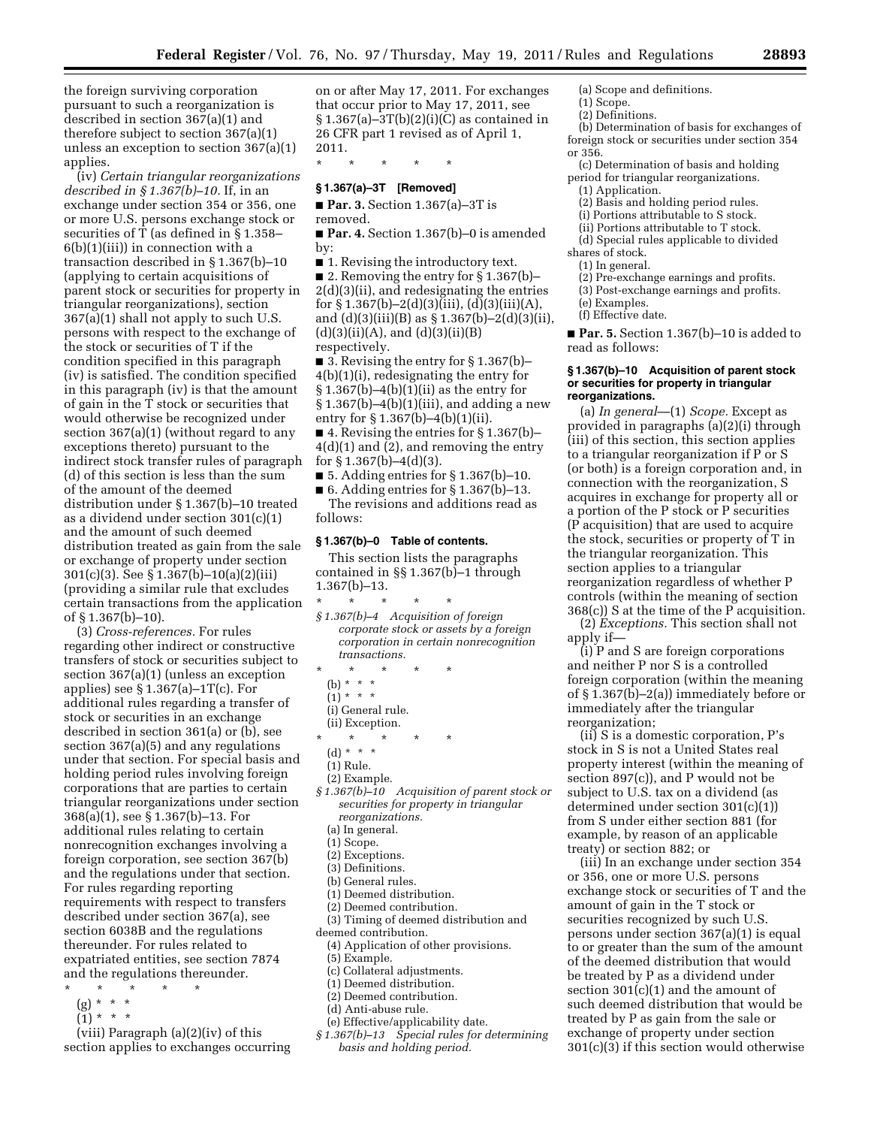the foreign surviving corporation pursuant to such a reorganization is described in section 367(a)(1) and therefore subject to section 367(a)(1) unless an exception to section 367(a)(1) applies.

(iv) *Certain triangular reorganizations described in § 1.367(b)–10.* If, in an exchange under section 354 or 356, one or more U.S. persons exchange stock or securities of  $\overline{T}$  (as defined in § 1.358–  $6(b)(1)(iii)$  in connection with a transaction described in § 1.367(b)–10 (applying to certain acquisitions of parent stock or securities for property in triangular reorganizations), section 367(a)(1) shall not apply to such U.S. persons with respect to the exchange of the stock or securities of T if the condition specified in this paragraph (iv) is satisfied. The condition specified in this paragraph (iv) is that the amount of gain in the T stock or securities that would otherwise be recognized under section 367(a)(1) (without regard to any exceptions thereto) pursuant to the indirect stock transfer rules of paragraph (d) of this section is less than the sum of the amount of the deemed distribution under § 1.367(b)–10 treated as a dividend under section 301(c)(1) and the amount of such deemed distribution treated as gain from the sale or exchange of property under section 301(c)(3). See § 1.367(b)–10(a)(2)(iii) (providing a similar rule that excludes certain transactions from the application of § 1.367(b)–10).

(3) *Cross-references.* For rules regarding other indirect or constructive transfers of stock or securities subject to section 367(a)(1) (unless an exception applies) see § 1.367(a)–1T(c). For additional rules regarding a transfer of stock or securities in an exchange described in section 361(a) or (b), see section 367(a)(5) and any regulations under that section. For special basis and holding period rules involving foreign corporations that are parties to certain triangular reorganizations under section 368(a)(1), see § 1.367(b)–13. For additional rules relating to certain nonrecognition exchanges involving a foreign corporation, see section 367(b) and the regulations under that section. For rules regarding reporting requirements with respect to transfers described under section 367(a), see section 6038B and the regulations thereunder. For rules related to expatriated entities, see section 7874 and the regulations thereunder.

- \* \* \* \* \*
	- (g) \* \* \*
- $(1) * * * *$

(viii) Paragraph (a)(2)(iv) of this section applies to exchanges occurring

on or after May 17, 2011. For exchanges that occur prior to May 17, 2011, see  $\S 1.367(a) - 3T(b)(2)(i)(C)$  as contained in 26 CFR part 1 revised as of April 1, 2011.

\* \* \* \* \*

# **§ 1.367(a)–3T [Removed]**

■ **Par. 3.** Section 1.367(a)–3T is removed.

■ **Par. 4.** Section 1.367(b)–0 is amended by:

■ 1. Revising the introductory text.

■ 2. Removing the entry for § 1.367(b) 2(d)(3)(ii), and redesignating the entries for  $\S 1.367(b) - 2(d)(3)(iii)$ , (d)(3)(iii)(A), and  $(d)(3)(iii)(B)$  as  $\S 1.367(b) - 2(d)(3)(ii)$ ,  $(d)(3)(ii)(A)$ , and  $(d)(3)(ii)(B)$ respectively.

■ 3. Revising the entry for § 1.367(b)-4(b)(1)(i), redesignating the entry for  $§ 1.367(b) - 4(b)(1)(ii)$  as the entry for  $\S 1.367(b) - 4(b)(1)(iii)$ , and adding a new entry for § 1.367(b)–4(b)(1)(ii).

 $\blacksquare$  4. Revising the entries for § 1.367(b)– 4(d)(1) and (2), and removing the entry for  $\S 1.367(b) - 4(d)(3)$ .

■ 5. Adding entries for § 1.367(b)–10.

■ 6. Adding entries for § 1.367(b)–13. The revisions and additions read as follows:

#### **§ 1.367(b)–0 Table of contents.**

This section lists the paragraphs contained in §§ 1.367(b)–1 through 1.367(b)–13.

\* \* \* \* \*

- *§ 1.367(b)–4 Acquisition of foreign corporate stock or assets by a foreign corporation in certain nonrecognition transactions.*
- \* \* \* \* \*
	- (b)  $* * * *$
	- $(1) * * * *$
	- (i) General rule.
- (ii) Exception.
- \* \* \* \* \*
- (d) \* \* \*
- (1) Rule.
- (2) Example.
- *§ 1.367(b)–10 Acquisition of parent stock or securities for property in triangular reorganizations.* 
	- (a) In general.
	- (1) Scope.
	- (2) Exceptions.
	- (3) Definitions.
	- (b) General rules.
	- (1) Deemed distribution.
	- (2) Deemed contribution.
- (3) Timing of deemed distribution and deemed contribution.
	- (4) Application of other provisions.
	- (5) Example.
	- (c) Collateral adjustments.
	- (1) Deemed distribution.
	- (2) Deemed contribution.
	- (d) Anti-abuse rule.
	- (e) Effective/applicability date.
- *§ 1.367(b)–13 Special rules for determining basis and holding period.*
- (a) Scope and definitions.
- (1) Scope.
- (2) Definitions.
- (b) Determination of basis for exchanges of foreign stock or securities under section 354
- or 356. (c) Determination of basis and holding
- period for triangular reorganizations. (1) Application.
	-
	- (2) Basis and holding period rules. (i) Portions attributable to S stock.
	- (ii) Portions attributable to T stock.
- (d) Special rules applicable to divided shares of stock.
- (1) In general.
- (2) Pre-exchange earnings and profits.
- (3) Post-exchange earnings and profits.
- (e) Examples. (f) Effective date.
- 

■ **Par. 5.** Section 1.367(b)–10 is added to read as follows:

#### **§ 1.367(b)–10 Acquisition of parent stock or securities for property in triangular reorganizations.**

(a) *In general*—(1) *Scope.* Except as provided in paragraphs (a)(2)(i) through (iii) of this section, this section applies to a triangular reorganization if P or S (or both) is a foreign corporation and, in connection with the reorganization, S acquires in exchange for property all or a portion of the P stock or P securities (P acquisition) that are used to acquire the stock, securities or property of T in the triangular reorganization. This section applies to a triangular reorganization regardless of whether P controls (within the meaning of section 368(c)) S at the time of the P acquisition.

(2) *Exceptions.* This section shall not apply if—

(i) P and S are foreign corporations and neither P nor S is a controlled foreign corporation (within the meaning of § 1.367(b)–2(a)) immediately before or immediately after the triangular reorganization;

(ii) S is a domestic corporation, P's stock in S is not a United States real property interest (within the meaning of section 897(c)), and P would not be subject to U.S. tax on a dividend (as determined under section 301(c)(1)) from S under either section 881 (for example, by reason of an applicable treaty) or section 882; or

(iii) In an exchange under section 354 or 356, one or more U.S. persons exchange stock or securities of T and the amount of gain in the T stock or securities recognized by such U.S. persons under section 367(a)(1) is equal to or greater than the sum of the amount of the deemed distribution that would be treated by P as a dividend under section  $301(c)(1)$  and the amount of such deemed distribution that would be treated by P as gain from the sale or exchange of property under section 301(c)(3) if this section would otherwise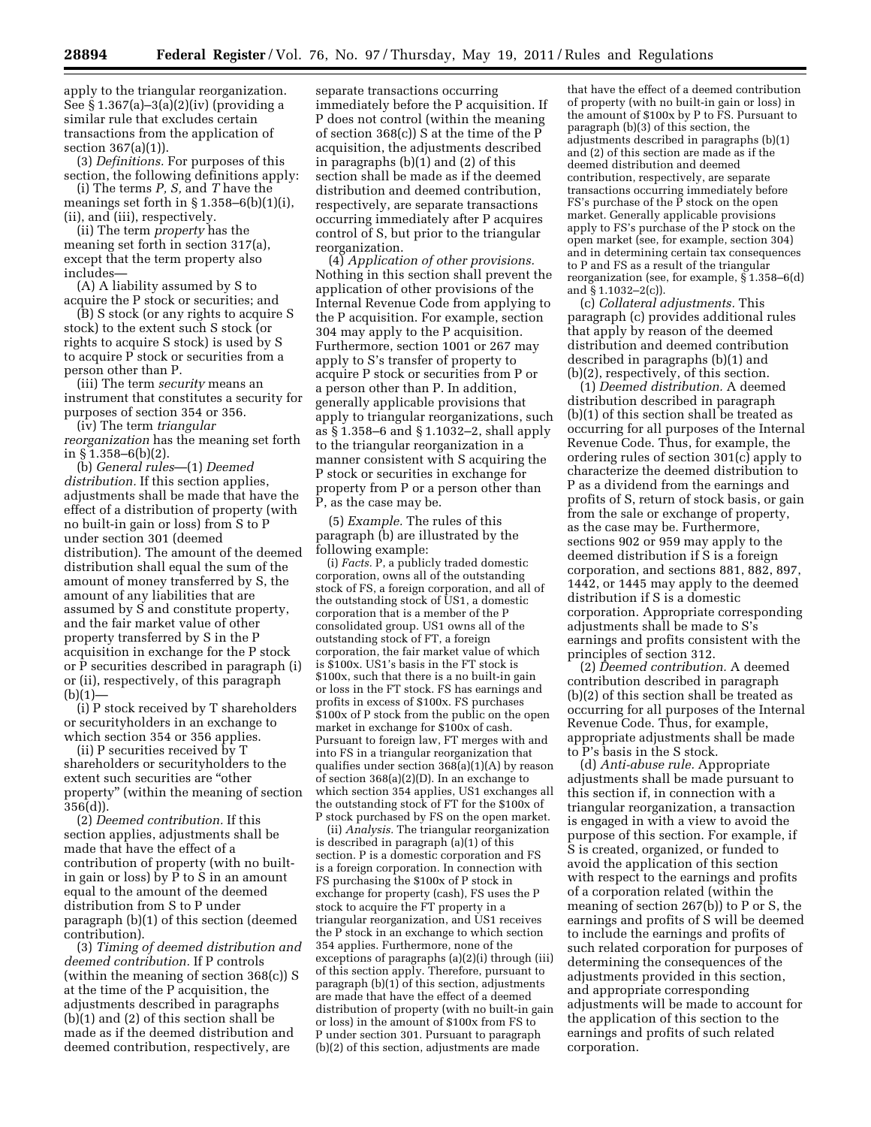apply to the triangular reorganization. See § 1.367(a)–3(a)(2)(iv) (providing a similar rule that excludes certain transactions from the application of

section 367(a)(1)). (3) *Definitions.* For purposes of this section, the following definitions apply:

(i) The terms *P, S,* and *T* have the meanings set forth in  $\S 1.358 - 6(b)(1)(i)$ , (ii), and (iii), respectively.

(ii) The term *property* has the meaning set forth in section 317(a), except that the term property also includes—

(A) A liability assumed by S to acquire the P stock or securities; and

(B) S stock (or any rights to acquire S stock) to the extent such S stock (or rights to acquire S stock) is used by S to acquire P stock or securities from a person other than P.

(iii) The term *security* means an instrument that constitutes a security for purposes of section 354 or 356.

(iv) The term *triangular reorganization* has the meaning set forth in § 1.358–6(b)(2).

(b) *General rules*—(1) *Deemed distribution.* If this section applies, adjustments shall be made that have the effect of a distribution of property (with no built-in gain or loss) from S to P under section 301 (deemed distribution). The amount of the deemed distribution shall equal the sum of the amount of money transferred by S, the amount of any liabilities that are assumed by  $\tilde{S}$  and constitute property, and the fair market value of other property transferred by S in the P acquisition in exchange for the P stock or P securities described in paragraph (i) or (ii), respectively, of this paragraph  $(b)(1)$ —

(i) P stock received by T shareholders or securityholders in an exchange to which section 354 or 356 applies.

(ii) P securities received by T shareholders or securityholders to the extent such securities are ''other property'' (within the meaning of section 356(d)).

(2) *Deemed contribution.* If this section applies, adjustments shall be made that have the effect of a contribution of property (with no builtin gain or loss) by P to S in an amount equal to the amount of the deemed distribution from S to P under paragraph (b)(1) of this section (deemed contribution).

(3) *Timing of deemed distribution and deemed contribution.* If P controls (within the meaning of section 368(c)) S at the time of the P acquisition, the adjustments described in paragraphs (b)(1) and (2) of this section shall be made as if the deemed distribution and deemed contribution, respectively, are

separate transactions occurring immediately before the P acquisition. If P does not control (within the meaning of section 368(c)) S at the time of the P acquisition, the adjustments described in paragraphs  $(b)(1)$  and  $(2)$  of this section shall be made as if the deemed distribution and deemed contribution, respectively, are separate transactions occurring immediately after P acquires control of S, but prior to the triangular reorganization.

(4) *Application of other provisions.*  Nothing in this section shall prevent the application of other provisions of the Internal Revenue Code from applying to the P acquisition. For example, section 304 may apply to the P acquisition. Furthermore, section 1001 or 267 may apply to S's transfer of property to acquire P stock or securities from P or a person other than P. In addition, generally applicable provisions that apply to triangular reorganizations, such as § 1.358–6 and § 1.1032–2, shall apply to the triangular reorganization in a manner consistent with S acquiring the P stock or securities in exchange for property from P or a person other than P, as the case may be.

(5) *Example.* The rules of this paragraph (b) are illustrated by the following example:

(i) *Facts.* P, a publicly traded domestic corporation, owns all of the outstanding stock of FS, a foreign corporation, and all of the outstanding stock of US1, a domestic corporation that is a member of the P consolidated group. US1 owns all of the outstanding stock of FT, a foreign corporation, the fair market value of which is \$100x. US1's basis in the FT stock is \$100x, such that there is a no built-in gain or loss in the FT stock. FS has earnings and profits in excess of \$100x. FS purchases \$100x of P stock from the public on the open market in exchange for \$100x of cash. Pursuant to foreign law, FT merges with and into FS in a triangular reorganization that qualifies under section 368(a)(1)(A) by reason of section 368(a)(2)(D). In an exchange to which section 354 applies, US1 exchanges all the outstanding stock of FT for the \$100x of P stock purchased by FS on the open market.

(ii) *Analysis.* The triangular reorganization is described in paragraph (a)(1) of this section. P is a domestic corporation and FS is a foreign corporation. In connection with FS purchasing the \$100x of P stock in exchange for property (cash), FS uses the P stock to acquire the FT property in a triangular reorganization, and US1 receives the P stock in an exchange to which section 354 applies. Furthermore, none of the exceptions of paragraphs (a)(2)(i) through (iii) of this section apply. Therefore, pursuant to paragraph  $(b)(1)$  of this section, adjustments are made that have the effect of a deemed distribution of property (with no built-in gain or loss) in the amount of \$100x from FS to P under section 301. Pursuant to paragraph (b)(2) of this section, adjustments are made

that have the effect of a deemed contribution of property (with no built-in gain or loss) in the amount of \$100x by P to FS. Pursuant to paragraph (b)(3) of this section, the adjustments described in paragraphs (b)(1) and (2) of this section are made as if the deemed distribution and deemed contribution, respectively, are separate transactions occurring immediately before  $FS's$  purchase of the  $\overline{P}$  stock on the open market. Generally applicable provisions apply to FS's purchase of the P stock on the open market (see, for example, section 304) and in determining certain tax consequences to P and FS as a result of the triangular reorganization (see, for example, § 1.358–6(d) and § 1.1032–2(c)).

(c) *Collateral adjustments.* This paragraph (c) provides additional rules that apply by reason of the deemed distribution and deemed contribution described in paragraphs (b)(1) and (b)(2), respectively, of this section.

(1) *Deemed distribution.* A deemed distribution described in paragraph (b)(1) of this section shall be treated as occurring for all purposes of the Internal Revenue Code. Thus, for example, the ordering rules of section 301(c) apply to characterize the deemed distribution to P as a dividend from the earnings and profits of S, return of stock basis, or gain from the sale or exchange of property, as the case may be. Furthermore, sections 902 or 959 may apply to the deemed distribution if S is a foreign corporation, and sections 881, 882, 897, 1442, or 1445 may apply to the deemed distribution if S is a domestic corporation. Appropriate corresponding adjustments shall be made to S's earnings and profits consistent with the principles of section 312.

(2) *Deemed contribution.* A deemed contribution described in paragraph (b)(2) of this section shall be treated as occurring for all purposes of the Internal Revenue Code. Thus, for example, appropriate adjustments shall be made to P's basis in the S stock.

(d) *Anti-abuse rule.* Appropriate adjustments shall be made pursuant to this section if, in connection with a triangular reorganization, a transaction is engaged in with a view to avoid the purpose of this section. For example, if S is created, organized, or funded to avoid the application of this section with respect to the earnings and profits of a corporation related (within the meaning of section 267(b)) to P or S, the earnings and profits of S will be deemed to include the earnings and profits of such related corporation for purposes of determining the consequences of the adjustments provided in this section, and appropriate corresponding adjustments will be made to account for the application of this section to the earnings and profits of such related corporation.